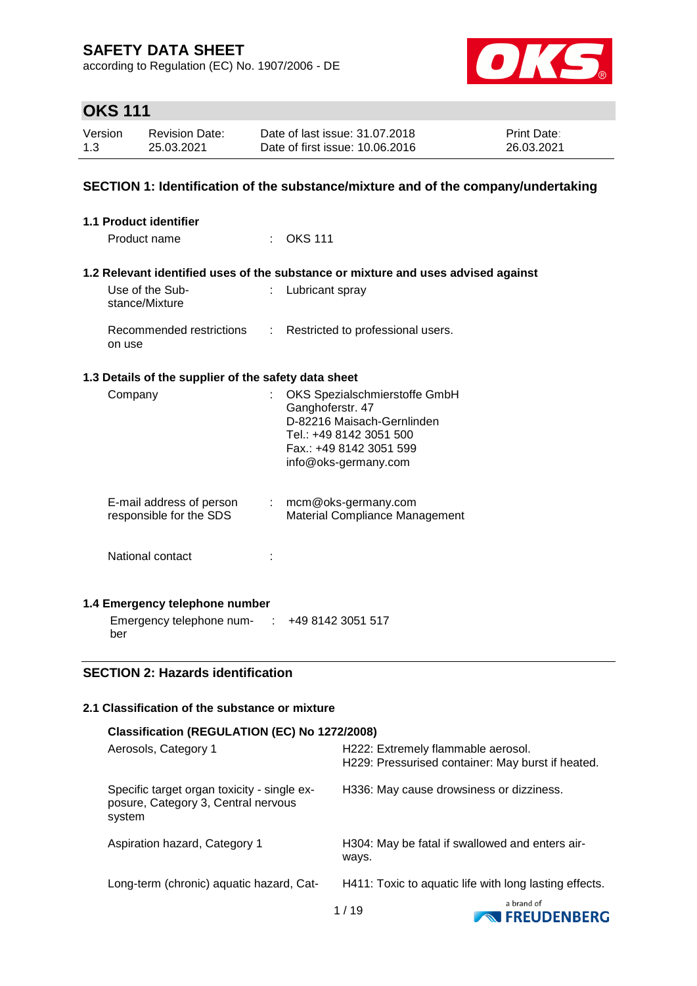according to Regulation (EC) No. 1907/2006 - DE



# **OKS 111**

| Version | <b>Revision Date:</b> | Date of last issue: 31.07.2018  | <b>Print Date:</b> |
|---------|-----------------------|---------------------------------|--------------------|
| 1.3     | 25.03.2021            | Date of first issue: 10.06.2016 | 26.03.2021         |

### **SECTION 1: Identification of the substance/mixture and of the company/undertaking**

| 1.1 Product identifier                               |    |                                                                                                                                                               |
|------------------------------------------------------|----|---------------------------------------------------------------------------------------------------------------------------------------------------------------|
| Product name                                         |    | <b>OKS 111</b>                                                                                                                                                |
|                                                      |    | 1.2 Relevant identified uses of the substance or mixture and uses advised against                                                                             |
| Use of the Sub-<br>stance/Mixture                    |    | Lubricant spray                                                                                                                                               |
| Recommended restrictions<br>on use                   | t. | Restricted to professional users.                                                                                                                             |
| 1.3 Details of the supplier of the safety data sheet |    |                                                                                                                                                               |
| Company                                              |    | OKS Spezialschmierstoffe GmbH<br>Ganghoferstr. 47<br>D-82216 Maisach-Gernlinden<br>Tel.: +49 8142 3051 500<br>Fax.: +49 8142 3051 599<br>info@oks-germany.com |
| E-mail address of person<br>responsible for the SDS  |    | $:$ mcm@oks-germany.com<br>Material Compliance Management                                                                                                     |
| National contact                                     |    |                                                                                                                                                               |
| 1.4 Emergency telephone number                       |    |                                                                                                                                                               |
| Emergency telephone num- : +49 8142 3051 517<br>ber  |    |                                                                                                                                                               |

### **SECTION 2: Hazards identification**

### **2.1 Classification of the substance or mixture**

| Classification (REGULATION (EC) No 1272/2008)                                                |                                                                                         |                                     |
|----------------------------------------------------------------------------------------------|-----------------------------------------------------------------------------------------|-------------------------------------|
| Aerosols, Category 1                                                                         | H222: Extremely flammable aerosol.<br>H229: Pressurised container: May burst if heated. |                                     |
| Specific target organ toxicity - single ex-<br>posure, Category 3, Central nervous<br>system | H336: May cause drowsiness or dizziness.                                                |                                     |
| Aspiration hazard, Category 1                                                                | H304: May be fatal if swallowed and enters air-<br>ways.                                |                                     |
| Long-term (chronic) aquatic hazard, Cat-                                                     | H411: Toxic to aquatic life with long lasting effects.                                  |                                     |
|                                                                                              | 1/19                                                                                    | a brand of<br><b>NO FREUDENBERG</b> |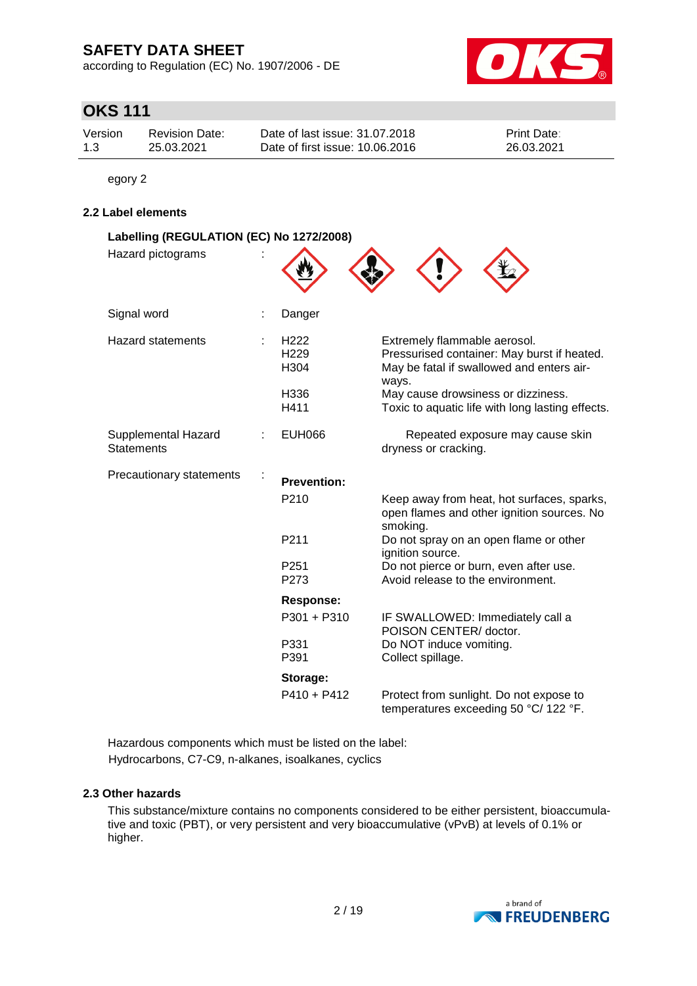according to Regulation (EC) No. 1907/2006 - DE



# **OKS 111**

| Version | <b>Revision Date:</b> | Date of last issue: 31.07.2018  | <b>Print Date:</b> |
|---------|-----------------------|---------------------------------|--------------------|
| 1.3     | 25.03.2021            | Date of first issue: 10.06.2016 | 26.03.2021         |

egory 2

### **2.2 Label elements**

| Labelling (REGULATION (EC) No 1272/2008)<br>Hazard pictograms |                                                                                    |                                                                                                                                                                                                                                                   |
|---------------------------------------------------------------|------------------------------------------------------------------------------------|---------------------------------------------------------------------------------------------------------------------------------------------------------------------------------------------------------------------------------------------------|
| Signal word                                                   | Danger                                                                             |                                                                                                                                                                                                                                                   |
| <b>Hazard statements</b>                                      | H <sub>222</sub><br>H <sub>229</sub><br>H304<br>H336<br>H411                       | Extremely flammable aerosol.<br>Pressurised container: May burst if heated.<br>May be fatal if swallowed and enters air-<br>ways.<br>May cause drowsiness or dizziness.<br>Toxic to aquatic life with long lasting effects.                       |
| Supplemental Hazard<br><b>Statements</b>                      | <b>EUH066</b>                                                                      | Repeated exposure may cause skin<br>dryness or cracking.                                                                                                                                                                                          |
| Precautionary statements                                      | <b>Prevention:</b><br>P210<br>P211<br>P <sub>251</sub><br>P273<br><b>Response:</b> | Keep away from heat, hot surfaces, sparks,<br>open flames and other ignition sources. No<br>smoking.<br>Do not spray on an open flame or other<br>ignition source.<br>Do not pierce or burn, even after use.<br>Avoid release to the environment. |
|                                                               | P301 + P310<br>P331<br>P391                                                        | IF SWALLOWED: Immediately call a<br>POISON CENTER/ doctor.<br>Do NOT induce vomiting.<br>Collect spillage.                                                                                                                                        |
|                                                               | Storage:<br>$P410 + P412$                                                          | Protect from sunlight. Do not expose to<br>temperatures exceeding 50 °C/ 122 °F.                                                                                                                                                                  |

Hazardous components which must be listed on the label: Hydrocarbons, C7-C9, n-alkanes, isoalkanes, cyclics

### **2.3 Other hazards**

This substance/mixture contains no components considered to be either persistent, bioaccumulative and toxic (PBT), or very persistent and very bioaccumulative (vPvB) at levels of 0.1% or higher.

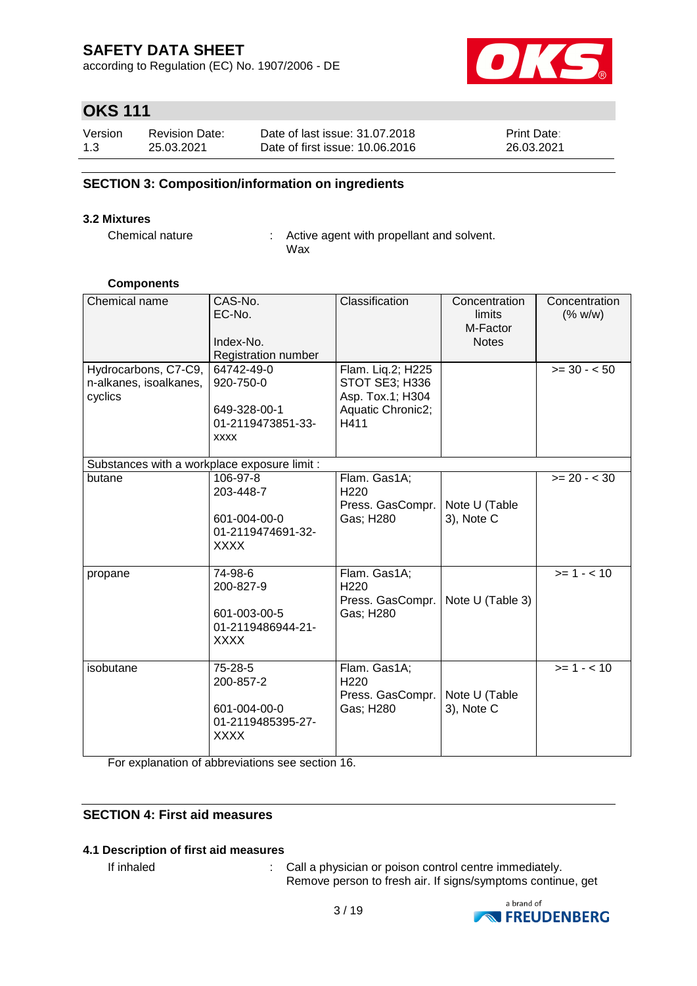according to Regulation (EC) No. 1907/2006 - DE



# **OKS 111**

| Version | <b>Revision Date:</b> | Date of last issue: 31.07.2018  | <b>Print Date:</b> |
|---------|-----------------------|---------------------------------|--------------------|
| 1.3     | 25.03.2021            | Date of first issue: 10.06.2016 | 26.03.2021         |

### **SECTION 3: Composition/information on ingredients**

### **3.2 Mixtures**

Chemical nature : Active agent with propellant and solvent. Wax

### **Components**

| Chemical name                                             | CAS-No.<br>EC-No.<br>Index-No.<br>Registration number                       | Classification                                                                       | Concentration<br>limits<br>M-Factor<br><b>Notes</b> | Concentration<br>(% w/w) |
|-----------------------------------------------------------|-----------------------------------------------------------------------------|--------------------------------------------------------------------------------------|-----------------------------------------------------|--------------------------|
| Hydrocarbons, C7-C9,<br>n-alkanes, isoalkanes,<br>cyclics | 64742-49-0<br>920-750-0<br>649-328-00-1<br>01-2119473851-33-<br><b>XXXX</b> | Flam. Liq.2; H225<br>STOT SE3; H336<br>Asp. Tox.1; H304<br>Aquatic Chronic2;<br>H411 |                                                     | $>= 30 - 50$             |
| Substances with a workplace exposure limit :              |                                                                             |                                                                                      |                                                     |                          |
| butane                                                    | 106-97-8<br>203-448-7<br>601-004-00-0<br>01-2119474691-32-<br><b>XXXX</b>   | Flam. Gas1A;<br>H <sub>220</sub><br>Press. GasCompr.<br>Gas; H280                    | Note U (Table<br>3), Note C                         | $>= 20 - < 30$           |
| propane                                                   | 74-98-6<br>200-827-9<br>601-003-00-5<br>01-2119486944-21-<br><b>XXXX</b>    | Flam. Gas1A;<br>H220<br>Press. GasCompr.<br>Gas; H280                                | Note U (Table 3)                                    | $>= 1 - 10$              |
| isobutane                                                 | 75-28-5<br>200-857-2<br>601-004-00-0<br>01-2119485395-27-<br><b>XXXX</b>    | Flam. Gas1A;<br>H <sub>220</sub><br>Press. GasCompr.<br>Gas; H280                    | Note U (Table<br>3), Note C                         | $>= 1 - 10$              |

For explanation of abbreviations see section 16.

### **SECTION 4: First aid measures**

### **4.1 Description of first aid measures**

If inhaled : Call a physician or poison control centre immediately. Remove person to fresh air. If signs/symptoms continue, get

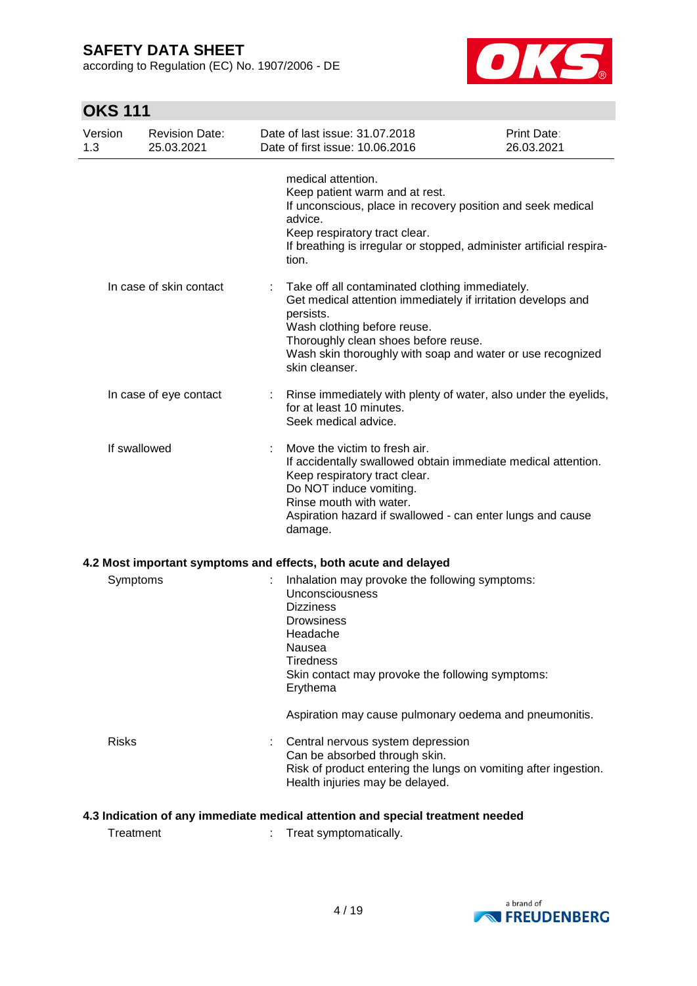according to Regulation (EC) No. 1907/2006 - DE



# **OKS 111**

| Version<br>1.3 |              | <b>Revision Date:</b><br>25.03.2021 | Date of last issue: 31.07.2018<br>Date of first issue: 10.06.2016                                                                                                                                                                                                                   | Print Date:<br>26.03.2021 |
|----------------|--------------|-------------------------------------|-------------------------------------------------------------------------------------------------------------------------------------------------------------------------------------------------------------------------------------------------------------------------------------|---------------------------|
|                |              |                                     | medical attention.<br>Keep patient warm and at rest.<br>If unconscious, place in recovery position and seek medical<br>advice.<br>Keep respiratory tract clear.<br>If breathing is irregular or stopped, administer artificial respira-<br>tion.                                    |                           |
|                |              | In case of skin contact             | Take off all contaminated clothing immediately.<br>Get medical attention immediately if irritation develops and<br>persists.<br>Wash clothing before reuse.<br>Thoroughly clean shoes before reuse.<br>Wash skin thoroughly with soap and water or use recognized<br>skin cleanser. |                           |
|                |              | In case of eye contact              | Rinse immediately with plenty of water, also under the eyelids,<br>for at least 10 minutes.<br>Seek medical advice.                                                                                                                                                                 |                           |
|                | If swallowed |                                     | Move the victim to fresh air.<br>If accidentally swallowed obtain immediate medical attention.<br>Keep respiratory tract clear.<br>Do NOT induce vomiting.<br>Rinse mouth with water.<br>Aspiration hazard if swallowed - can enter lungs and cause<br>damage.                      |                           |
|                |              |                                     | 4.2 Most important symptoms and effects, both acute and delayed                                                                                                                                                                                                                     |                           |
|                | Symptoms     |                                     | Inhalation may provoke the following symptoms:<br>Unconsciousness<br><b>Dizziness</b><br><b>Drowsiness</b><br>Headache<br>Nausea<br><b>Tiredness</b><br>Skin contact may provoke the following symptoms:<br>Erythema                                                                |                           |
|                |              |                                     | Aspiration may cause pulmonary oedema and pneumonitis.                                                                                                                                                                                                                              |                           |
|                | <b>Risks</b> |                                     | Central nervous system depression<br>Can be absorbed through skin.<br>Risk of product entering the lungs on vomiting after ingestion.<br>Health injuries may be delayed.                                                                                                            |                           |

### **4.3 Indication of any immediate medical attention and special treatment needed**

Treatment : Treat symptomatically.

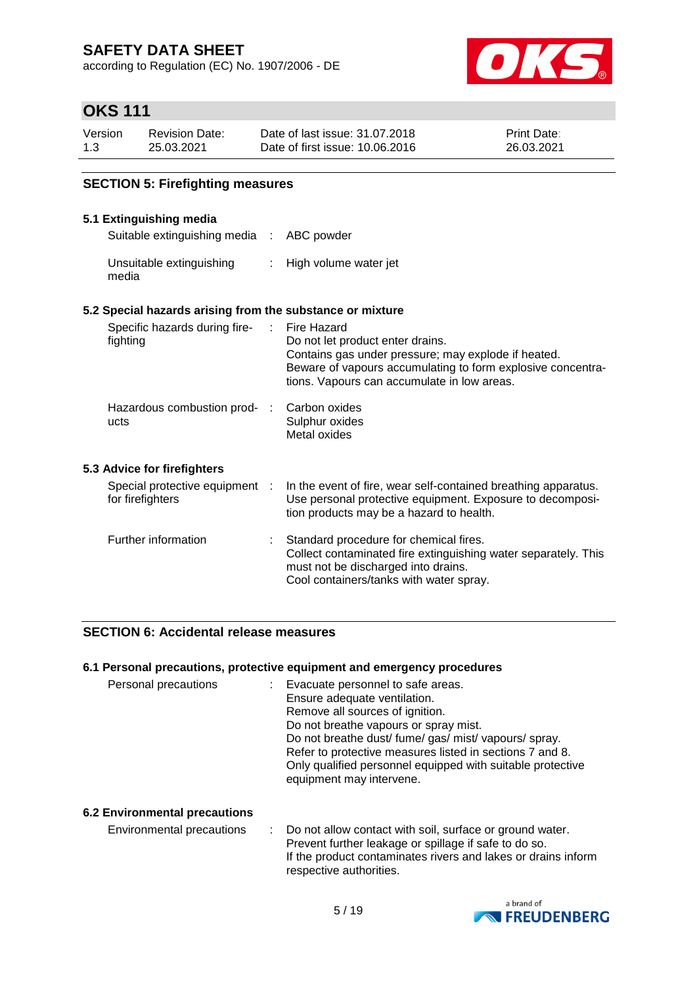according to Regulation (EC) No. 1907/2006 - DE



# **OKS 111**

| Version | Revision Date: | Date of last issue: 31,07,2018  | <b>Print Date:</b> |
|---------|----------------|---------------------------------|--------------------|
| 1.3     | 25.03.2021     | Date of first issue: 10.06.2016 | 26.03.2021         |

### **SECTION 5: Firefighting measures**

### **5.1 Extinguishing media**

media

| Suitable extinguishing media : ABC powder |                       |
|-------------------------------------------|-----------------------|
| Unsuitable extinguishing                  | High volume water jet |

### **5.2 Special hazards arising from the substance or mixture**

| Specific hazards during fire-<br>fighting          | Fire Hazard<br>Do not let product enter drains.<br>Contains gas under pressure; may explode if heated.<br>Beware of vapours accumulating to form explosive concentra-<br>tions. Vapours can accumulate in low areas. |
|----------------------------------------------------|----------------------------------------------------------------------------------------------------------------------------------------------------------------------------------------------------------------------|
| Hazardous combustion prod-<br>ucts                 | Carbon oxides<br>Sulphur oxides<br>Metal oxides                                                                                                                                                                      |
| 5.3 Advice for firefighters                        |                                                                                                                                                                                                                      |
| Special protective equipment :<br>for firefighters | In the event of fire, wear self-contained breathing apparatus.<br>Use personal protective equipment. Exposure to decomposi-<br>tion products may be a hazard to health.                                              |
| Further information                                | Standard procedure for chemical fires.<br>Collect contaminated fire extinguishing water separately. This<br>must not be discharged into drains.<br>Cool containers/tanks with water spray.                           |

### **SECTION 6: Accidental release measures**

### **6.1 Personal precautions, protective equipment and emergency procedures**

| Personal precautions | Evacuate personnel to safe areas.                                                    |
|----------------------|--------------------------------------------------------------------------------------|
|                      | Ensure adequate ventilation.                                                         |
|                      | Remove all sources of ignition.                                                      |
|                      | Do not breathe vapours or spray mist.                                                |
|                      | Do not breathe dust/fume/gas/mist/vapours/spray.                                     |
|                      |                                                                                      |
|                      | Only qualified personnel equipped with suitable protective                           |
|                      |                                                                                      |
|                      | Refer to protective measures listed in sections 7 and 8.<br>equipment may intervene. |

### **6.2 Environmental precautions**

Environmental precautions : Do not allow contact with soil, surface or ground water. Prevent further leakage or spillage if safe to do so. If the product contaminates rivers and lakes or drains inform respective authorities.

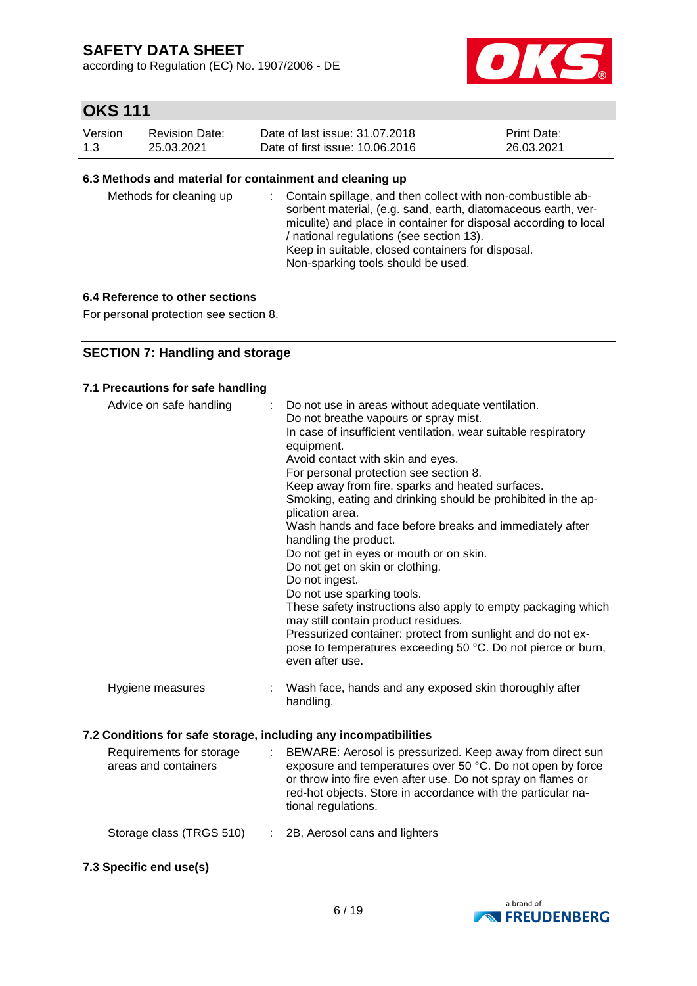according to Regulation (EC) No. 1907/2006 - DE



# **OKS 111**

| Version | Revision Date: | Date of last issue: 31,07,2018  | <b>Print Date:</b> |
|---------|----------------|---------------------------------|--------------------|
| 1.3     | 25.03.2021     | Date of first issue: 10.06.2016 | 26.03.2021         |

### **6.3 Methods and material for containment and cleaning up**

| Methods for cleaning up |  | : Contain spillage, and then collect with non-combustible ab-<br>sorbent material, (e.g. sand, earth, diatomaceous earth, ver-<br>miculite) and place in container for disposal according to local<br>/ national regulations (see section 13).<br>Keep in suitable, closed containers for disposal.<br>Non-sparking tools should be used. |
|-------------------------|--|-------------------------------------------------------------------------------------------------------------------------------------------------------------------------------------------------------------------------------------------------------------------------------------------------------------------------------------------|
|-------------------------|--|-------------------------------------------------------------------------------------------------------------------------------------------------------------------------------------------------------------------------------------------------------------------------------------------------------------------------------------------|

### **6.4 Reference to other sections**

For personal protection see section 8.

### **SECTION 7: Handling and storage**

### **7.1 Precautions for safe handling**

| Advice on safe handling                                          |   | : Do not use in areas without adequate ventilation.<br>Do not breathe vapours or spray mist.<br>In case of insufficient ventilation, wear suitable respiratory<br>equipment.<br>Avoid contact with skin and eyes.<br>For personal protection see section 8.<br>Keep away from fire, sparks and heated surfaces.<br>Smoking, eating and drinking should be prohibited in the ap-<br>plication area.<br>Wash hands and face before breaks and immediately after<br>handling the product.<br>Do not get in eyes or mouth or on skin.<br>Do not get on skin or clothing.<br>Do not ingest.<br>Do not use sparking tools.<br>These safety instructions also apply to empty packaging which<br>may still contain product residues.<br>Pressurized container: protect from sunlight and do not ex-<br>pose to temperatures exceeding 50 °C. Do not pierce or burn,<br>even after use. |
|------------------------------------------------------------------|---|--------------------------------------------------------------------------------------------------------------------------------------------------------------------------------------------------------------------------------------------------------------------------------------------------------------------------------------------------------------------------------------------------------------------------------------------------------------------------------------------------------------------------------------------------------------------------------------------------------------------------------------------------------------------------------------------------------------------------------------------------------------------------------------------------------------------------------------------------------------------------------|
| Hygiene measures                                                 | ÷ | Wash face, hands and any exposed skin thoroughly after<br>handling.                                                                                                                                                                                                                                                                                                                                                                                                                                                                                                                                                                                                                                                                                                                                                                                                            |
| 7.2 Conditions for safe storage, including any incompatibilities |   |                                                                                                                                                                                                                                                                                                                                                                                                                                                                                                                                                                                                                                                                                                                                                                                                                                                                                |
|                                                                  |   |                                                                                                                                                                                                                                                                                                                                                                                                                                                                                                                                                                                                                                                                                                                                                                                                                                                                                |

| Requirements for storage<br>areas and containers | BEWARE: Aerosol is pressurized. Keep away from direct sun<br>exposure and temperatures over 50 °C. Do not open by force<br>or throw into fire even after use. Do not spray on flames or<br>red-hot objects. Store in accordance with the particular na-<br>tional regulations. |
|--------------------------------------------------|--------------------------------------------------------------------------------------------------------------------------------------------------------------------------------------------------------------------------------------------------------------------------------|
| Storage class (TRGS 510)                         | : 2B, Aerosol cans and lighters                                                                                                                                                                                                                                                |

**7.3 Specific end use(s)**

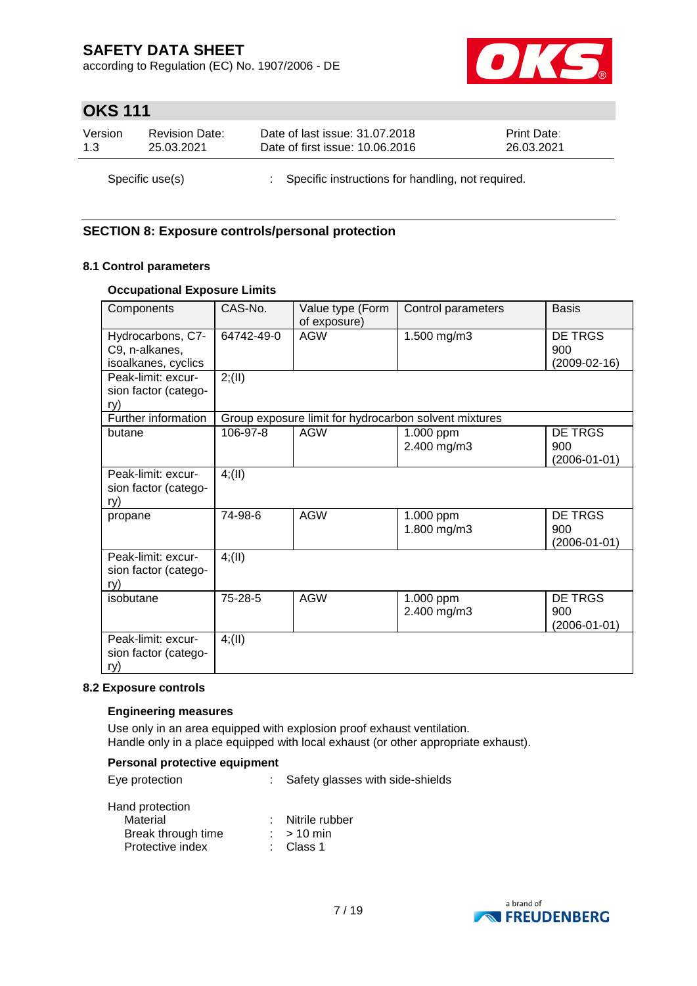according to Regulation (EC) No. 1907/2006 - DE



# **OKS 111**

| Version         | <b>Revision Date:</b> | Date of last issue: 31.07.2018                      | <b>Print Date:</b> |
|-----------------|-----------------------|-----------------------------------------------------|--------------------|
| 1.3             | 25.03.2021            | Date of first issue: 10.06.2016                     | 26.03.2021         |
| Specific use(s) |                       | : Specific instructions for handling, not required. |                    |

### **SECTION 8: Exposure controls/personal protection**

### **8.1 Control parameters**

### **Occupational Exposure Limits**

| Components                                                 | CAS-No.    | Value type (Form<br>of exposure) | Control parameters                                    | <b>Basis</b>                                |
|------------------------------------------------------------|------------|----------------------------------|-------------------------------------------------------|---------------------------------------------|
| Hydrocarbons, C7-<br>C9, n-alkanes,<br>isoalkanes, cyclics | 64742-49-0 | <b>AGW</b>                       | 1.500 mg/m3                                           | DE TRGS<br>900<br>$(2009-02-16)$            |
| Peak-limit: excur-<br>sion factor (catego-<br>ry)          | 2; (II)    |                                  |                                                       |                                             |
| Further information                                        |            |                                  | Group exposure limit for hydrocarbon solvent mixtures |                                             |
| butane                                                     | 106-97-8   | <b>AGW</b>                       | 1.000 ppm<br>2.400 mg/m3                              | DE TRGS<br>900<br>$(2006 - 01 - 01)$        |
| Peak-limit: excur-<br>sion factor (catego-<br>ry)          | 4(11)      |                                  |                                                       |                                             |
| propane                                                    | 74-98-6    | <b>AGW</b>                       | 1.000 ppm<br>1.800 mg/m3                              | <b>DE TRGS</b><br>900<br>(2006-01-01)       |
| Peak-limit: excur-<br>sion factor (catego-<br>ry)          | 4(11)      |                                  |                                                       |                                             |
| isobutane                                                  | 75-28-5    | <b>AGW</b>                       | 1.000 ppm<br>2.400 mg/m3                              | <b>DE TRGS</b><br>900<br>$(2006 - 01 - 01)$ |
| Peak-limit: excur-<br>sion factor (catego-<br>ry)          | 4(11)      |                                  |                                                       |                                             |

### **8.2 Exposure controls**

### **Engineering measures**

Use only in an area equipped with explosion proof exhaust ventilation. Handle only in a place equipped with local exhaust (or other appropriate exhaust).

### **Personal protective equipment**

| Eye protection            | Safety glasses with side-shields |  |
|---------------------------|----------------------------------|--|
| Hand protection           |                                  |  |
| Material                  | : Nitrile rubber                 |  |
| <b>Break through time</b> | $\cdot$ $\sim$ 10 min            |  |

| Break through time | $>10$ min |
|--------------------|-----------|
| Protective index   | : Class 1 |

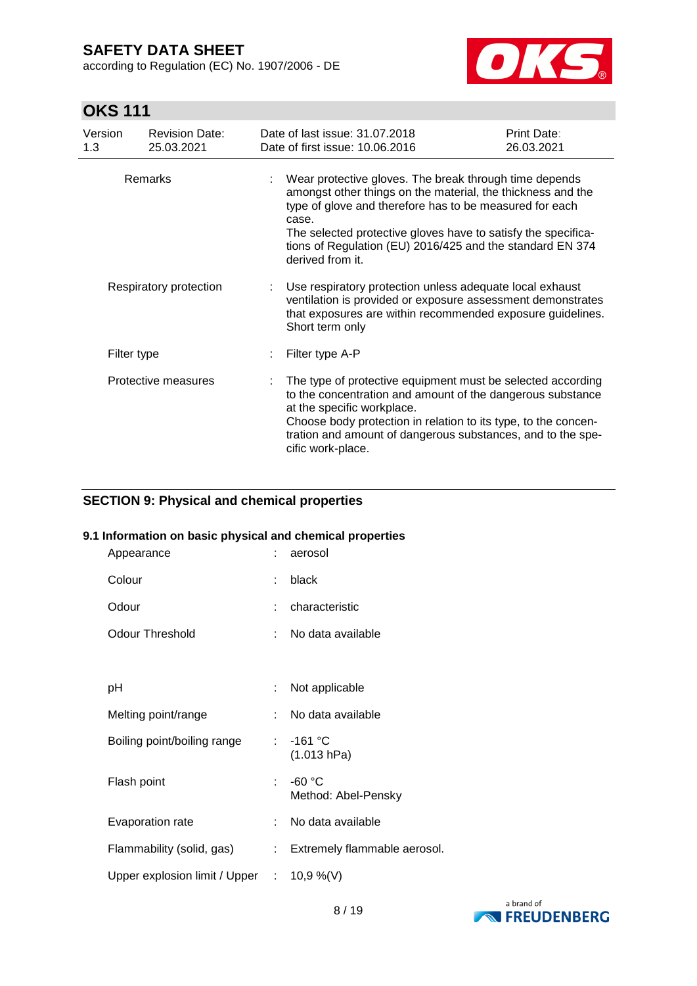according to Regulation (EC) No. 1907/2006 - DE



# **OKS 111**

| Version<br>1.3         | <b>Revision Date:</b><br>25.03.2021 | Date of last issue: 31.07.2018<br>Date of first issue: 10.06.2016                                                                                                                                                                                                                                                                           | <b>Print Date:</b><br>26.03.2021 |  |
|------------------------|-------------------------------------|---------------------------------------------------------------------------------------------------------------------------------------------------------------------------------------------------------------------------------------------------------------------------------------------------------------------------------------------|----------------------------------|--|
| Remarks                |                                     | Wear protective gloves. The break through time depends<br>amongst other things on the material, the thickness and the<br>type of glove and therefore has to be measured for each<br>case.<br>The selected protective gloves have to satisfy the specifica-<br>tions of Regulation (EU) 2016/425 and the standard EN 374<br>derived from it. |                                  |  |
| Respiratory protection |                                     | Use respiratory protection unless adequate local exhaust<br>ventilation is provided or exposure assessment demonstrates<br>that exposures are within recommended exposure guidelines.<br>Short term only                                                                                                                                    |                                  |  |
| Filter type            |                                     | Filter type A-P                                                                                                                                                                                                                                                                                                                             |                                  |  |
|                        | Protective measures                 | The type of protective equipment must be selected according<br>to the concentration and amount of the dangerous substance<br>at the specific workplace.<br>Choose body protection in relation to its type, to the concen-<br>tration and amount of dangerous substances, and to the spe-<br>cific work-place.                               |                                  |  |

### **SECTION 9: Physical and chemical properties**

### **9.1 Information on basic physical and chemical properties**

| Appearance                                           | ÷  | aerosol                         |
|------------------------------------------------------|----|---------------------------------|
| Colour                                               | ÷  | black                           |
| Odour                                                | ÷  | characteristic                  |
| <b>Odour Threshold</b>                               | t. | No data available               |
|                                                      |    |                                 |
| рH                                                   | ÷  | Not applicable                  |
| Melting point/range                                  |    | No data available               |
| Boiling point/boiling range                          |    | $: -161 °C$<br>(1.013 hPa)      |
| Flash point                                          | t. | $-60 °C$<br>Method: Abel-Pensky |
| Evaporation rate                                     | t. | No data available               |
| Flammability (solid, gas)                            | t. | Extremely flammable aerosol.    |
| Upper explosion limit / Upper $\therefore$ 10,9 %(V) |    |                                 |

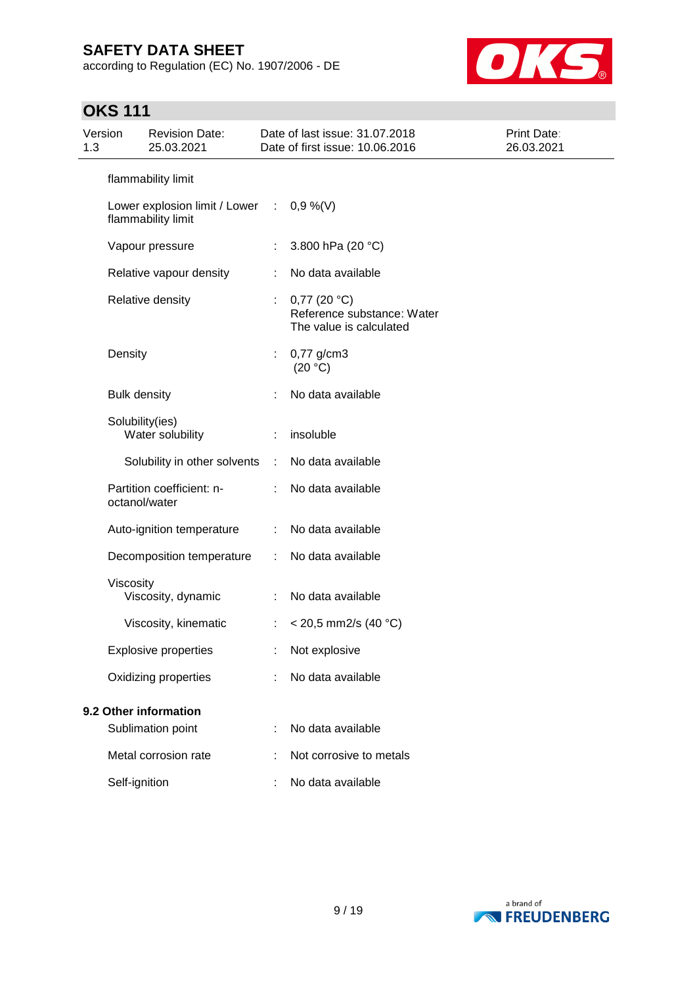according to Regulation (EC) No. 1907/2006 - DE



# **OKS 111**

| Version<br>1.3        |                     | <b>Revision Date:</b><br>25.03.2021                               |                | Date of last issue: 31.07.2018<br>Date of first issue: 10.06.2016       | Print Date:<br>26.03.2021 |
|-----------------------|---------------------|-------------------------------------------------------------------|----------------|-------------------------------------------------------------------------|---------------------------|
|                       | flammability limit  |                                                                   |                |                                                                         |                           |
|                       |                     | Lower explosion limit / Lower : $0,9\%$ (V)<br>flammability limit |                |                                                                         |                           |
|                       |                     | Vapour pressure                                                   | $\mathbb{R}^n$ | 3.800 hPa (20 °C)                                                       |                           |
|                       |                     | Relative vapour density                                           |                | No data available                                                       |                           |
|                       |                     | Relative density                                                  |                | $0,77$ (20 °C)<br>Reference substance: Water<br>The value is calculated |                           |
|                       | Density             |                                                                   |                | $0,77$ g/cm3<br>(20 °C)                                                 |                           |
|                       | <b>Bulk density</b> |                                                                   |                | No data available                                                       |                           |
|                       |                     | Solubility(ies)<br>Water solubility                               | ÷              | insoluble                                                               |                           |
|                       |                     | Solubility in other solvents                                      | ÷              | No data available                                                       |                           |
|                       |                     | Partition coefficient: n-<br>octanol/water                        |                | No data available                                                       |                           |
|                       |                     | Auto-ignition temperature                                         |                | No data available                                                       |                           |
|                       |                     | Decomposition temperature                                         | ÷              | No data available                                                       |                           |
|                       | Viscosity           | Viscosity, dynamic                                                |                | No data available                                                       |                           |
|                       |                     | Viscosity, kinematic                                              | ÷.             | < 20,5 mm2/s (40 °C)                                                    |                           |
|                       |                     | <b>Explosive properties</b>                                       |                | Not explosive                                                           |                           |
|                       |                     | Oxidizing properties                                              |                | No data available                                                       |                           |
| 9.2 Other information |                     |                                                                   |                |                                                                         |                           |
|                       |                     | Sublimation point                                                 |                | No data available                                                       |                           |
|                       |                     | Metal corrosion rate                                              |                | Not corrosive to metals                                                 |                           |
|                       | Self-ignition       |                                                                   |                | No data available                                                       |                           |

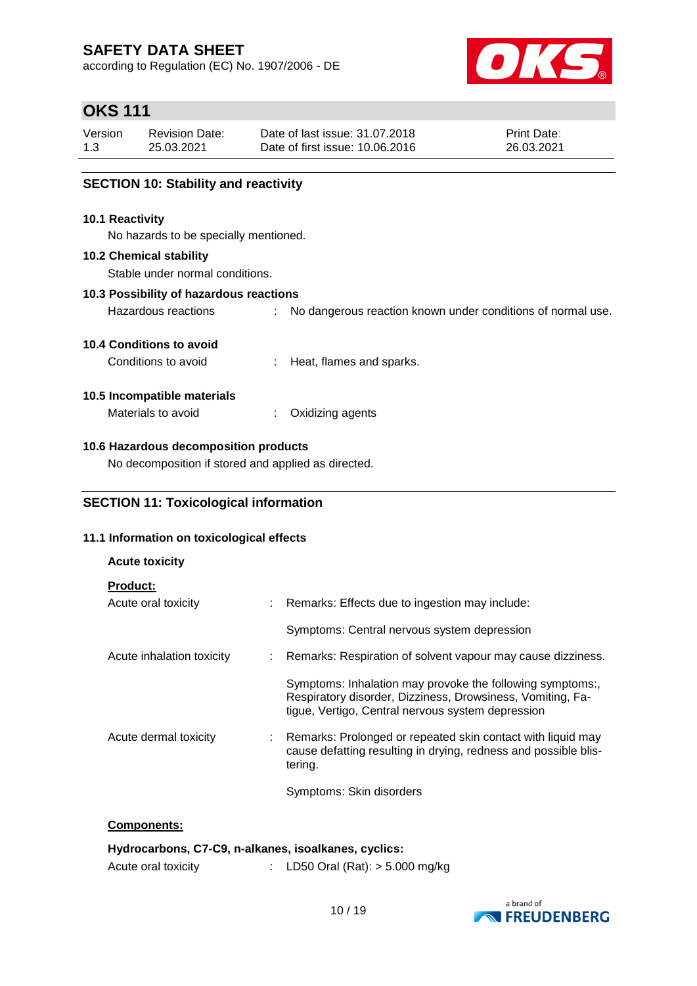according to Regulation (EC) No. 1907/2006 - DE



# **OKS 111**

| Version | Revision Date: | Date of last issue: 31.07.2018  | <b>Print Date:</b> |
|---------|----------------|---------------------------------|--------------------|
| 1.3     | 25.03.2021     | Date of first issue: 10.06.2016 | 26.03.2021         |

### **SECTION 10: Stability and reactivity**

### **10.1 Reactivity**

No hazards to be specially mentioned.

### **10.2 Chemical stability**

Stable under normal conditions.

### **10.3 Possibility of hazardous reactions**

Hazardous reactions : No dangerous reaction known under conditions of normal use.

### **10.4 Conditions to avoid**

Conditions to avoid : Heat, flames and sparks.

### **10.5 Incompatible materials**

Materials to avoid : Oxidizing agents

### **10.6 Hazardous decomposition products**

No decomposition if stored and applied as directed.

### **SECTION 11: Toxicological information**

### **11.1 Information on toxicological effects**

| <b>Acute toxicity</b>                  |                                                                                                                                                                              |
|----------------------------------------|------------------------------------------------------------------------------------------------------------------------------------------------------------------------------|
| <b>Product:</b><br>Acute oral toxicity | : Remarks: Effects due to ingestion may include:                                                                                                                             |
|                                        | Symptoms: Central nervous system depression                                                                                                                                  |
| Acute inhalation toxicity              | : Remarks: Respiration of solvent vapour may cause dizziness.                                                                                                                |
|                                        | Symptoms: Inhalation may provoke the following symptoms:,<br>Respiratory disorder, Dizziness, Drowsiness, Vomiting, Fa-<br>tigue, Vertigo, Central nervous system depression |
| Acute dermal toxicity                  | Remarks: Prolonged or repeated skin contact with liquid may<br>cause defatting resulting in drying, redness and possible blis-<br>tering.                                    |
|                                        | Symptoms: Skin disorders                                                                                                                                                     |

### **Components:**

| Hydrocarbons, C7-C9, n-alkanes, isoalkanes, cyclics: |                                |
|------------------------------------------------------|--------------------------------|
| Acute oral toxicity                                  | LD50 Oral (Rat): > 5.000 mg/kg |

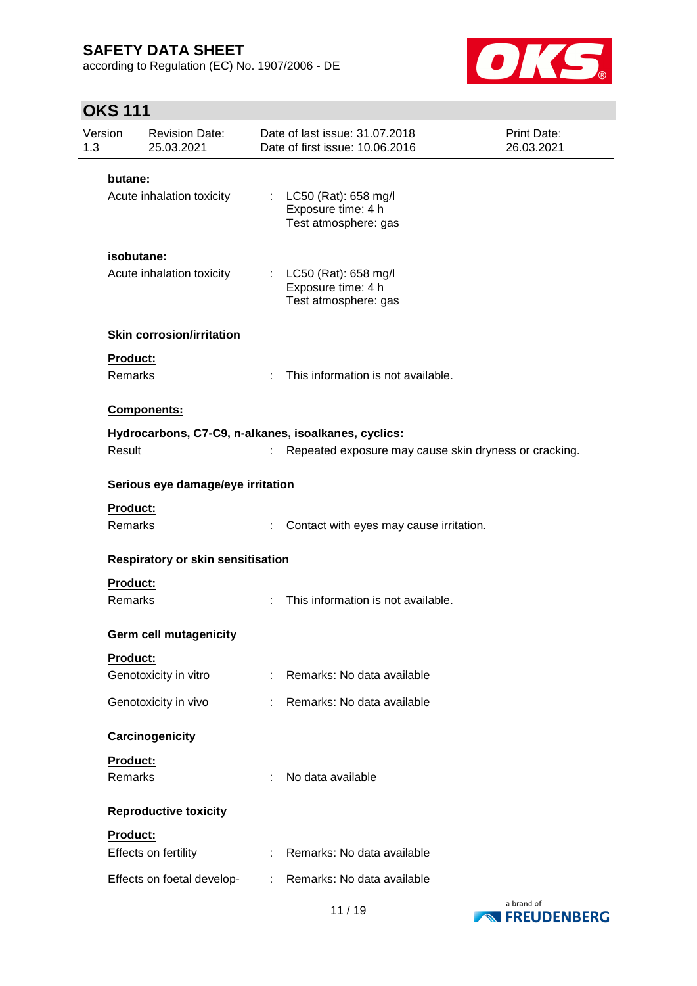according to Regulation (EC) No. 1907/2006 - DE



# **OKS 111**

| Version<br>1.3             | <b>Revision Date:</b><br>25.03.2021 |    | Date of last issue: 31,07,2018<br>Date of first issue: 10.06.2016      | <b>Print Date:</b><br>26.03.2021 |
|----------------------------|-------------------------------------|----|------------------------------------------------------------------------|----------------------------------|
| butane:                    |                                     |    |                                                                        |                                  |
|                            | Acute inhalation toxicity           |    | : LC50 (Rat): 658 mg/l<br>Exposure time: 4 h<br>Test atmosphere: gas   |                                  |
|                            | isobutane:                          |    |                                                                        |                                  |
|                            | Acute inhalation toxicity           |    | : $LC50$ (Rat): 658 mg/l<br>Exposure time: 4 h<br>Test atmosphere: gas |                                  |
|                            | <b>Skin corrosion/irritation</b>    |    |                                                                        |                                  |
| Product:<br><b>Remarks</b> |                                     | ÷  | This information is not available.                                     |                                  |
|                            | Components:                         |    |                                                                        |                                  |
|                            |                                     |    | Hydrocarbons, C7-C9, n-alkanes, isoalkanes, cyclics:                   |                                  |
| Result                     |                                     |    | Repeated exposure may cause skin dryness or cracking.                  |                                  |
|                            | Serious eye damage/eye irritation   |    |                                                                        |                                  |
| Product:                   |                                     |    |                                                                        |                                  |
| Remarks                    |                                     |    | Contact with eyes may cause irritation.                                |                                  |
|                            | Respiratory or skin sensitisation   |    |                                                                        |                                  |
| <b>Product:</b><br>Remarks |                                     | ÷. | This information is not available.                                     |                                  |
|                            | Germ cell mutagenicity              |    |                                                                        |                                  |
| Product:                   |                                     |    |                                                                        |                                  |
|                            | Genotoxicity in vitro               |    | : Remarks: No data available                                           |                                  |
|                            | Genotoxicity in vivo                | t. | Remarks: No data available                                             |                                  |
|                            | Carcinogenicity                     |    |                                                                        |                                  |
| Product:                   |                                     |    |                                                                        |                                  |
| Remarks                    |                                     | ÷. | No data available                                                      |                                  |
|                            | <b>Reproductive toxicity</b>        |    |                                                                        |                                  |
| Product:                   | Effects on fertility                | ÷  | Remarks: No data available                                             |                                  |
|                            |                                     |    |                                                                        |                                  |
|                            | Effects on foetal develop-          |    | : Remarks: No data available                                           |                                  |

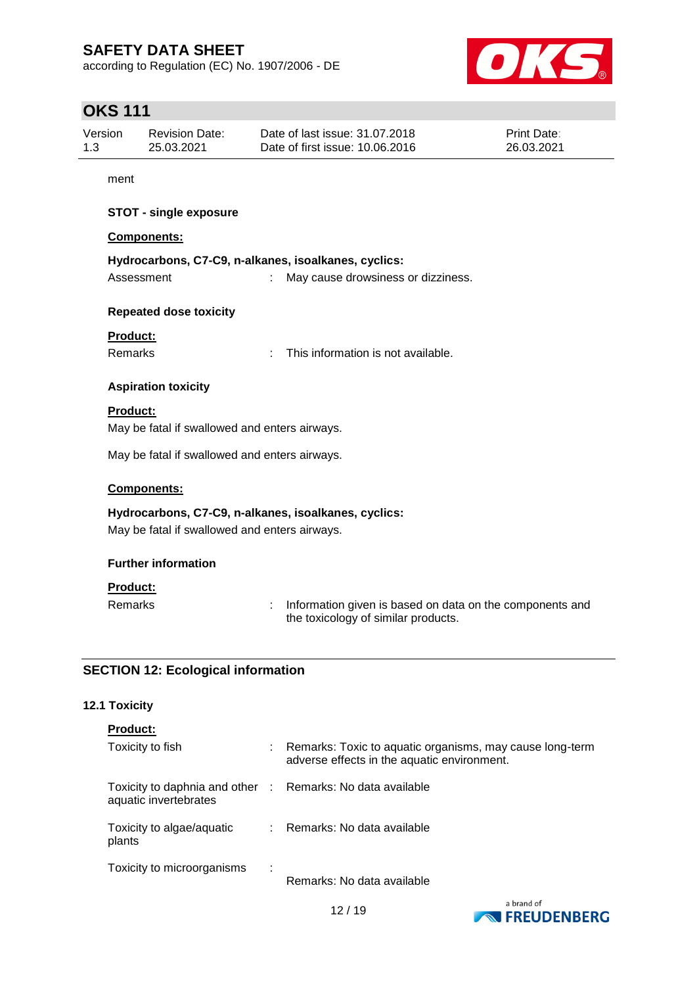according to Regulation (EC) No. 1907/2006 - DE



# **OKS 111**

| Version | <b>Revision Date:</b> | Date of last issue: 31.07.2018  | <b>Print Date:</b> |
|---------|-----------------------|---------------------------------|--------------------|
| 1.3     | 25.03.2021            | Date of first issue: 10.06.2016 | 26.03.2021         |

ment

### **STOT - single exposure**

### **Components:**

| Hydrocarbons, C7-C9, n-alkanes, isoalkanes, cyclics: |                                    |
|------------------------------------------------------|------------------------------------|
| Assessment                                           | May cause drowsiness or dizziness. |

### **Repeated dose toxicity**

### **Product:**

Remarks : This information is not available.

### **Aspiration toxicity**

### **Product:**

May be fatal if swallowed and enters airways.

May be fatal if swallowed and enters airways.

### **Components:**

**Hydrocarbons, C7-C9, n-alkanes, isoalkanes, cyclics:** May be fatal if swallowed and enters airways.

### **Further information**

### **Product:**

Remarks : Information given is based on data on the components and the toxicology of similar products.

### **SECTION 12: Ecological information**

### **12.1 Toxicity**

| <b>Product:</b>                                                                     |   |                                                                                                           |
|-------------------------------------------------------------------------------------|---|-----------------------------------------------------------------------------------------------------------|
| Toxicity to fish                                                                    |   | : Remarks: Toxic to aquatic organisms, may cause long-term<br>adverse effects in the aquatic environment. |
| Toxicity to daphnia and other : Remarks: No data available<br>aquatic invertebrates |   |                                                                                                           |
| Toxicity to algae/aquatic<br>plants                                                 |   | : Remarks: No data available                                                                              |
| Toxicity to microorganisms                                                          | ÷ | Remarks: No data available                                                                                |



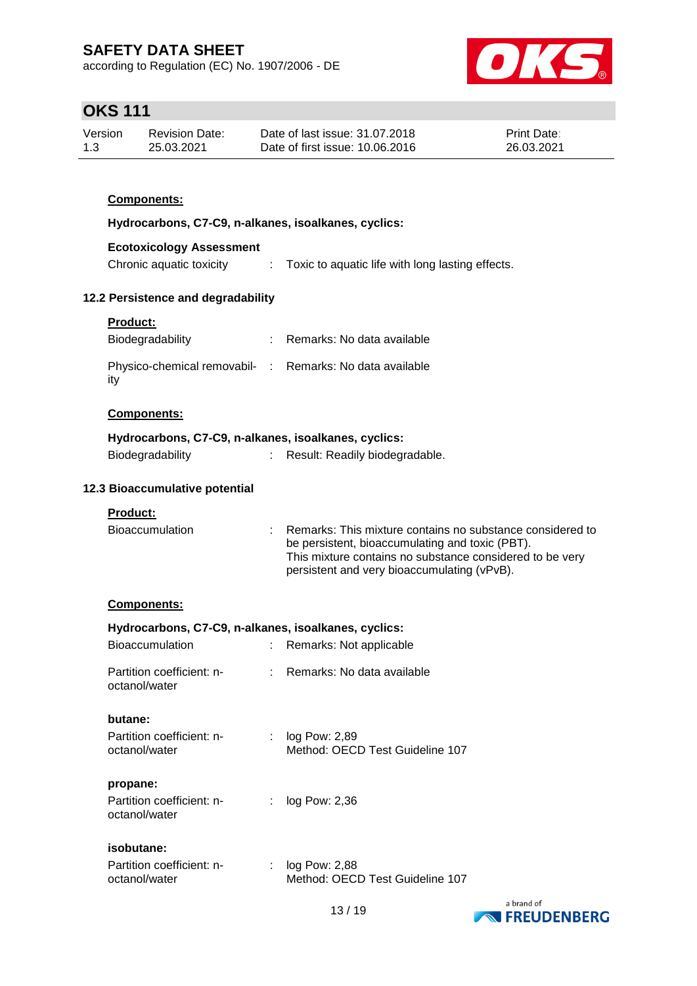according to Regulation (EC) No. 1907/2006 - DE



# **OKS 111**

| Version | <b>Revision Date:</b> | Date of last issue: 31.07.2018  | <b>Print Date:</b> |
|---------|-----------------------|---------------------------------|--------------------|
| 1.3     | 25.03.2021            | Date of first issue: 10.06.2016 | 26.03.2021         |

### **Components:**

**Hydrocarbons, C7-C9, n-alkanes, isoalkanes, cyclics:**

### **Ecotoxicology Assessment**

| Chronic aquatic toxicity | Toxic to aquatic life with long lasting effects. |
|--------------------------|--------------------------------------------------|
|                          |                                                  |

### **12.2 Persistence and degradability**

| <b>Product:</b>                                                 |                            |
|-----------------------------------------------------------------|----------------------------|
| Biodegradability                                                | Remarks: No data available |
| Physico-chemical removabil- : Remarks: No data available<br>itv |                            |

### **Components:**

### **Hydrocarbons, C7-C9, n-alkanes, isoalkanes, cyclics:**

| Biodegradability |  | Result: Readily biodegradable. |
|------------------|--|--------------------------------|
|                  |  |                                |

### **12.3 Bioaccumulative potential**

### **Product:**

| <b>Bioaccumulation</b> | Remarks: This mixture contains no substance considered to<br>be persistent, bioaccumulating and toxic (PBT).<br>This mixture contains no substance considered to be very |
|------------------------|--------------------------------------------------------------------------------------------------------------------------------------------------------------------------|
|                        | persistent and very bioaccumulating (vPvB).                                                                                                                              |

### **Components:**

| Hydrocarbons, C7-C9, n-alkanes, isoalkanes, cyclics:<br><b>Bioaccumulation</b><br>Remarks: Not applicable |  |                                                    |  |  |  |
|-----------------------------------------------------------------------------------------------------------|--|----------------------------------------------------|--|--|--|
| Partition coefficient: n-<br>octanol/water                                                                |  | Remarks: No data available                         |  |  |  |
| butane:                                                                                                   |  |                                                    |  |  |  |
| Partition coefficient: n-<br>octanol/water                                                                |  | $log$ Pow: 2,89<br>Method: OECD Test Guideline 107 |  |  |  |
| propane:                                                                                                  |  |                                                    |  |  |  |
| Partition coefficient: n-<br>octanol/water                                                                |  | $log$ Pow: 2,36                                    |  |  |  |
| isobutane:                                                                                                |  |                                                    |  |  |  |

| Partition coefficient: n- | $\therefore$ log Pow: 2,88      |
|---------------------------|---------------------------------|
| octanol/water             | Method: OECD Test Guideline 107 |

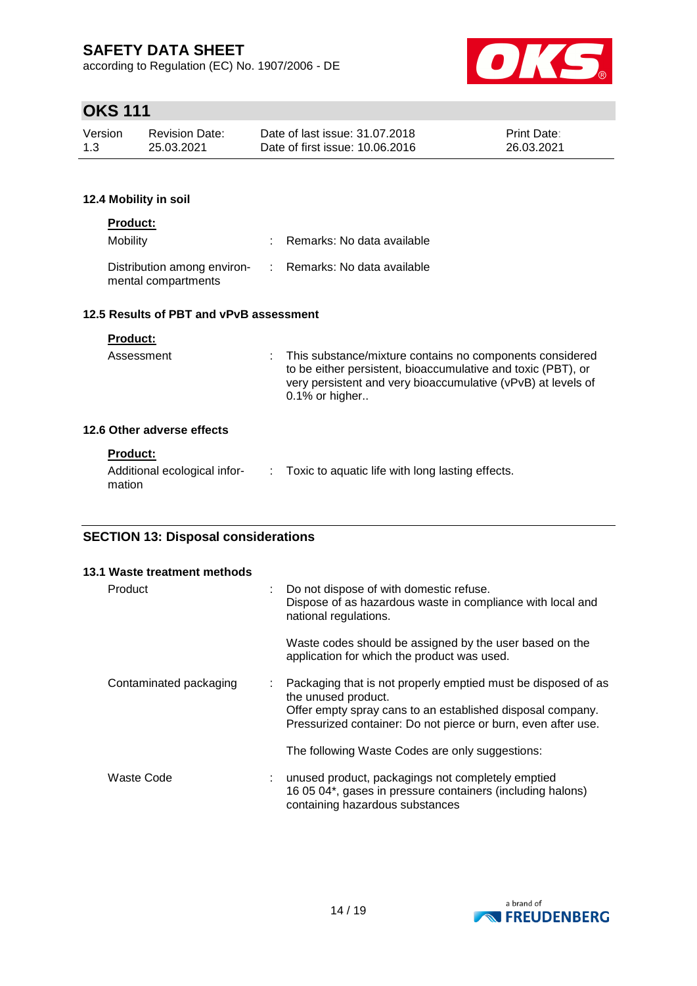according to Regulation (EC) No. 1907/2006 - DE



# **OKS 111**

| Version | Revision Date: | Date of last issue: 31.07.2018  | <b>Print Date:</b> |
|---------|----------------|---------------------------------|--------------------|
| 1.3     | 25.03.2021     | Date of first issue: 10.06.2016 | 26.03.2021         |

### **12.4 Mobility in soil**

| <b>Product:</b><br>Mobility             |  | : Remarks: No data available                             |  |  |  |
|-----------------------------------------|--|----------------------------------------------------------|--|--|--|
| mental compartments                     |  | Distribution among environ- : Remarks: No data available |  |  |  |
| 12.5 Results of PBT and vPvB assessment |  |                                                          |  |  |  |

### **Product:**

| Assessment                 | : This substance/mixture contains no components considered<br>to be either persistent, bioaccumulative and toxic (PBT), or<br>very persistent and very bioaccumulative (vPvB) at levels of<br>$0.1\%$ or higher |
|----------------------------|-----------------------------------------------------------------------------------------------------------------------------------------------------------------------------------------------------------------|
| 12.6 Other adverse effects |                                                                                                                                                                                                                 |
| <b>Product:</b>            |                                                                                                                                                                                                                 |

| .                                      |                                                    |
|----------------------------------------|----------------------------------------------------|
| Additional ecological infor-<br>mation | : Toxic to aquatic life with long lasting effects. |
|                                        |                                                    |

### **SECTION 13: Disposal considerations**

|         | 13.1 Waste treatment methods |                                                                                                                                                                                                                       |
|---------|------------------------------|-----------------------------------------------------------------------------------------------------------------------------------------------------------------------------------------------------------------------|
| Product |                              | : Do not dispose of with domestic refuse.<br>Dispose of as hazardous waste in compliance with local and<br>national regulations.                                                                                      |
|         |                              | Waste codes should be assigned by the user based on the<br>application for which the product was used.                                                                                                                |
|         | Contaminated packaging       | : Packaging that is not properly emptied must be disposed of as<br>the unused product.<br>Offer empty spray cans to an established disposal company.<br>Pressurized container: Do not pierce or burn, even after use. |
|         |                              | The following Waste Codes are only suggestions:                                                                                                                                                                       |
|         | Waste Code                   | unused product, packagings not completely emptied<br>16 05 04*, gases in pressure containers (including halons)<br>containing hazardous substances                                                                    |

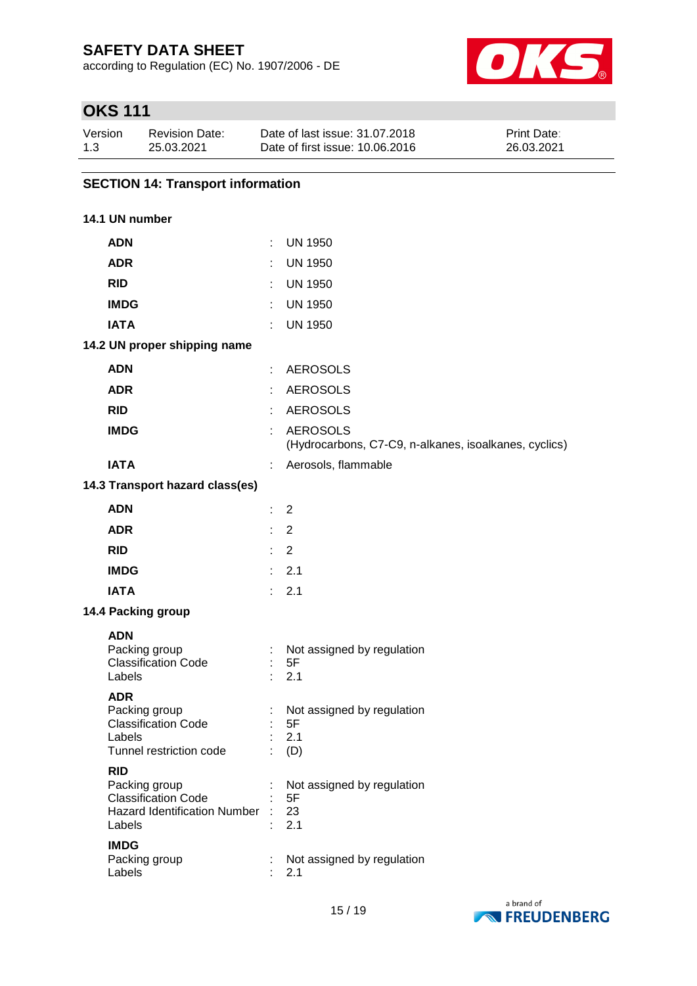according to Regulation (EC) No. 1907/2006 - DE



# **OKS 111**

| Version | Revision Date: | Date of last issue: 31.07.2018  | <b>Print Date:</b> |
|---------|----------------|---------------------------------|--------------------|
| 1.3     | 25.03.2021     | Date of first issue: 10.06.2016 | 26.03.2021         |

### **SECTION 14: Transport information**

### **14.1 UN number**

| <b>ADN</b>                                                                                                                | ÷.                          | <b>UN 1950</b>                                                           |
|---------------------------------------------------------------------------------------------------------------------------|-----------------------------|--------------------------------------------------------------------------|
| <b>ADR</b>                                                                                                                |                             | <b>UN 1950</b>                                                           |
| <b>RID</b>                                                                                                                | t.                          | <b>UN 1950</b>                                                           |
| <b>IMDG</b>                                                                                                               | ÷.                          | <b>UN 1950</b>                                                           |
| <b>IATA</b>                                                                                                               | ÷.                          | <b>UN 1950</b>                                                           |
| 14.2 UN proper shipping name                                                                                              |                             |                                                                          |
| <b>ADN</b>                                                                                                                | ÷.                          | <b>AEROSOLS</b>                                                          |
| <b>ADR</b>                                                                                                                |                             | <b>AEROSOLS</b>                                                          |
| <b>RID</b>                                                                                                                | ÷.                          | <b>AEROSOLS</b>                                                          |
| <b>IMDG</b>                                                                                                               | ÷.                          | <b>AEROSOLS</b><br>(Hydrocarbons, C7-C9, n-alkanes, isoalkanes, cyclics) |
| <b>IATA</b>                                                                                                               | t.                          | Aerosols, flammable                                                      |
| 14.3 Transport hazard class(es)                                                                                           |                             |                                                                          |
| <b>ADN</b>                                                                                                                | ÷.                          | 2                                                                        |
| <b>ADR</b>                                                                                                                | ÷.                          | $\overline{2}$                                                           |
| <b>RID</b>                                                                                                                | $\mathcal{L}^{\mathcal{L}}$ | $\overline{2}$                                                           |
| <b>IMDG</b>                                                                                                               |                             | : 2.1                                                                    |
| <b>IATA</b>                                                                                                               |                             | : 2.1                                                                    |
| 14.4 Packing group                                                                                                        |                             |                                                                          |
| <b>ADN</b><br>Packing group<br><b>Classification Code</b><br>Labels                                                       | Đ.                          | Not assigned by regulation<br>5F<br>2.1                                  |
| <b>ADR</b><br>Packing group<br><b>Classification Code</b><br>Labels<br>Tunnel restriction code                            | ÷.                          | Not assigned by regulation<br>5F<br>2.1<br>(D)                           |
| <b>RID</b><br>Packing group<br><b>Classification Code</b><br><b>Hazard Identification Number</b><br>Labels<br><b>IMDG</b> |                             | Not assigned by regulation<br>5F<br>23<br>2.1                            |
| Packing group<br>Labels                                                                                                   | t                           | Not assigned by regulation<br>2.1                                        |

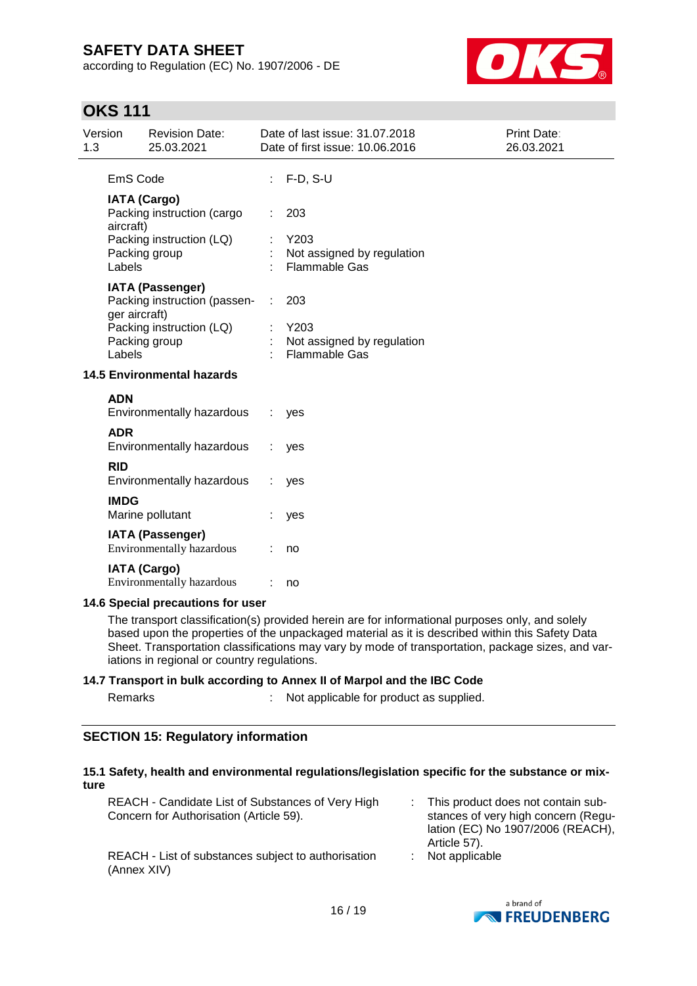according to Regulation (EC) No. 1907/2006 - DE



# **OKS 111**

| 1.3 | Version                 | <b>Revision Date:</b><br>25.03.2021                                                                  |   | Date of last issue: 31.07.2018<br>Date of first issue: 10.06.2016 | <b>Print Date:</b><br>26.03.2021 |
|-----|-------------------------|------------------------------------------------------------------------------------------------------|---|-------------------------------------------------------------------|----------------------------------|
|     | EmS Code                |                                                                                                      |   | $F-D, S-U$                                                        |                                  |
|     | aircraft)<br>Labels     | <b>IATA (Cargo)</b><br>Packing instruction (cargo<br>Packing instruction (LQ)<br>Packing group       |   | 203<br>Y203<br>Not assigned by regulation<br><b>Flammable Gas</b> |                                  |
|     | ger aircraft)<br>Labels | <b>IATA (Passenger)</b><br>Packing instruction (passen-<br>Packing instruction (LQ)<br>Packing group | ÷ | 203<br>Y203<br>Not assigned by regulation<br><b>Flammable Gas</b> |                                  |
|     |                         | <b>14.5 Environmental hazards</b>                                                                    |   |                                                                   |                                  |
|     | <b>ADN</b>              | Environmentally hazardous                                                                            |   | yes                                                               |                                  |
|     | <b>ADR</b>              | Environmentally hazardous                                                                            |   | yes                                                               |                                  |
|     | <b>RID</b>              | Environmentally hazardous                                                                            |   | yes                                                               |                                  |
|     | <b>IMDG</b>             | Marine pollutant                                                                                     |   | yes                                                               |                                  |
|     |                         | <b>IATA (Passenger)</b><br><b>Environmentally hazardous</b>                                          |   | no                                                                |                                  |
|     |                         | <b>IATA (Cargo)</b><br>Environmentally hazardous                                                     |   | no                                                                |                                  |
|     |                         | 14.6 Special precautions for user                                                                    |   |                                                                   |                                  |

The transport classification(s) provided herein are for informational purposes only, and solely based upon the properties of the unpackaged material as it is described within this Safety Data Sheet. Transportation classifications may vary by mode of transportation, package sizes, and variations in regional or country regulations.

### **14.7 Transport in bulk according to Annex II of Marpol and the IBC Code**

| Remarks | Not applicable for product as supplied. |
|---------|-----------------------------------------|
|         |                                         |

### **SECTION 15: Regulatory information**

### **15.1 Safety, health and environmental regulations/legislation specific for the substance or mixture**

| REACH - Candidate List of Substances of Very High<br>Concern for Authorisation (Article 59). | : This product does not contain sub-<br>stances of very high concern (Regu-<br>lation (EC) No 1907/2006 (REACH),<br>Article 57). |
|----------------------------------------------------------------------------------------------|----------------------------------------------------------------------------------------------------------------------------------|
| REACH - List of substances subject to authorisation<br>(Annex XIV)                           | $:$ Not applicable                                                                                                               |

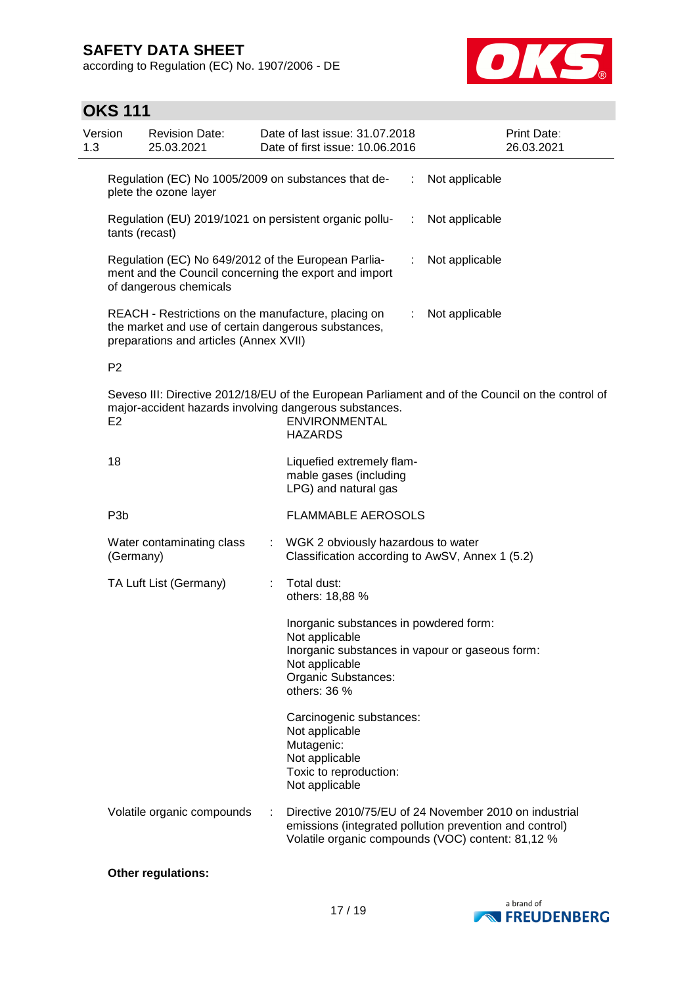according to Regulation (EC) No. 1907/2006 - DE



# **OKS 111**

| Version<br>1.3 |                                                                                                                                        | <b>Revision Date:</b><br>25.03.2021                                                                                                                  |   | Date of last issue: 31.07.2018<br>Date of first issue: 10.06.2016                                                      |   | Print Date:<br>26.03.2021                                                                                                                                              |
|----------------|----------------------------------------------------------------------------------------------------------------------------------------|------------------------------------------------------------------------------------------------------------------------------------------------------|---|------------------------------------------------------------------------------------------------------------------------|---|------------------------------------------------------------------------------------------------------------------------------------------------------------------------|
|                |                                                                                                                                        | Regulation (EC) No 1005/2009 on substances that de-<br>plete the ozone layer                                                                         |   |                                                                                                                        | ÷ | Not applicable                                                                                                                                                         |
|                | tants (recast)                                                                                                                         |                                                                                                                                                      |   | Regulation (EU) 2019/1021 on persistent organic pollu-                                                                 | ÷ | Not applicable                                                                                                                                                         |
|                | Regulation (EC) No 649/2012 of the European Parlia-<br>ment and the Council concerning the export and import<br>of dangerous chemicals |                                                                                                                                                      |   |                                                                                                                        | ÷ | Not applicable                                                                                                                                                         |
|                |                                                                                                                                        | REACH - Restrictions on the manufacture, placing on<br>the market and use of certain dangerous substances,<br>preparations and articles (Annex XVII) |   |                                                                                                                        | ÷ | Not applicable                                                                                                                                                         |
|                | P <sub>2</sub>                                                                                                                         |                                                                                                                                                      |   |                                                                                                                        |   |                                                                                                                                                                        |
|                | E <sub>2</sub>                                                                                                                         |                                                                                                                                                      |   | major-accident hazards involving dangerous substances.<br>ENVIRONMENTAL<br><b>HAZARDS</b>                              |   | Seveso III: Directive 2012/18/EU of the European Parliament and of the Council on the control of                                                                       |
|                | 18                                                                                                                                     |                                                                                                                                                      |   | Liquefied extremely flam-<br>mable gases (including<br>LPG) and natural gas                                            |   |                                                                                                                                                                        |
|                | P <sub>3</sub> b                                                                                                                       |                                                                                                                                                      |   | <b>FLAMMABLE AEROSOLS</b>                                                                                              |   |                                                                                                                                                                        |
|                | (Germany)                                                                                                                              | Water contaminating class                                                                                                                            |   | WGK 2 obviously hazardous to water<br>Classification according to AwSV, Annex 1 (5.2)                                  |   |                                                                                                                                                                        |
|                |                                                                                                                                        | TA Luft List (Germany)                                                                                                                               |   | Total dust:<br>others: 18,88 %                                                                                         |   |                                                                                                                                                                        |
|                |                                                                                                                                        |                                                                                                                                                      |   | Inorganic substances in powdered form:<br>Not applicable<br>Not applicable<br>Organic Substances:<br>others: 36 %      |   | Inorganic substances in vapour or gaseous form:                                                                                                                        |
|                |                                                                                                                                        |                                                                                                                                                      |   | Carcinogenic substances:<br>Not applicable<br>Mutagenic:<br>Not applicable<br>Toxic to reproduction:<br>Not applicable |   |                                                                                                                                                                        |
|                |                                                                                                                                        | Volatile organic compounds                                                                                                                           | ÷ |                                                                                                                        |   | Directive 2010/75/EU of 24 November 2010 on industrial<br>emissions (integrated pollution prevention and control)<br>Volatile organic compounds (VOC) content: 81,12 % |

### **Other regulations:**

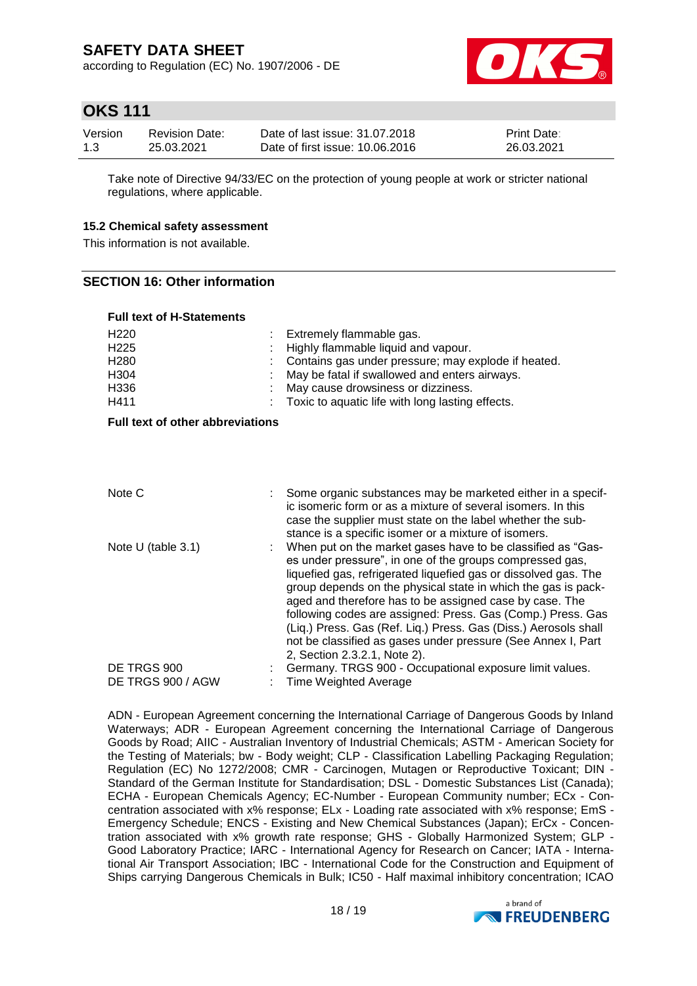according to Regulation (EC) No. 1907/2006 - DE



# **OKS 111**

| Version | Revision Date: | Date of last issue: 31.07.2018  | <b>Print Date:</b> |
|---------|----------------|---------------------------------|--------------------|
| 1.3     | 25.03.2021     | Date of first issue: 10.06.2016 | 26.03.2021         |

Take note of Directive 94/33/EC on the protection of young people at work or stricter national regulations, where applicable.

### **15.2 Chemical safety assessment**

This information is not available.

### **SECTION 16: Other information**

| <b>Full text of H-Statements</b>                                                 |  |                                                                                                                                                                                                                                                                                                                                                                                                                                                                                                                                                          |  |  |  |  |  |
|----------------------------------------------------------------------------------|--|----------------------------------------------------------------------------------------------------------------------------------------------------------------------------------------------------------------------------------------------------------------------------------------------------------------------------------------------------------------------------------------------------------------------------------------------------------------------------------------------------------------------------------------------------------|--|--|--|--|--|
| H <sub>220</sub><br>H <sub>225</sub><br>H <sub>280</sub><br>H304<br>H336<br>H411 |  | Extremely flammable gas.<br>Highly flammable liquid and vapour.<br>Contains gas under pressure; may explode if heated.<br>May be fatal if swallowed and enters airways.<br>May cause drowsiness or dizziness.<br>Toxic to aquatic life with long lasting effects.                                                                                                                                                                                                                                                                                        |  |  |  |  |  |
| Full text of other abbreviations                                                 |  |                                                                                                                                                                                                                                                                                                                                                                                                                                                                                                                                                          |  |  |  |  |  |
|                                                                                  |  |                                                                                                                                                                                                                                                                                                                                                                                                                                                                                                                                                          |  |  |  |  |  |
| Note C                                                                           |  | Some organic substances may be marketed either in a specif-<br>ic isomeric form or as a mixture of several isomers. In this<br>case the supplier must state on the label whether the sub-<br>stance is a specific isomer or a mixture of isomers.                                                                                                                                                                                                                                                                                                        |  |  |  |  |  |
| Note U (table 3.1)                                                               |  | When put on the market gases have to be classified as "Gas-<br>es under pressure", in one of the groups compressed gas,<br>liquefied gas, refrigerated liquefied gas or dissolved gas. The<br>group depends on the physical state in which the gas is pack-<br>aged and therefore has to be assigned case by case. The<br>following codes are assigned: Press. Gas (Comp.) Press. Gas<br>(Liq.) Press. Gas (Ref. Liq.) Press. Gas (Diss.) Aerosols shall<br>not be classified as gases under pressure (See Annex I, Part<br>2, Section 2.3.2.1, Note 2). |  |  |  |  |  |
| DE TRGS 900<br>DE TRGS 900 / AGW                                                 |  | Germany. TRGS 900 - Occupational exposure limit values.<br><b>Time Weighted Average</b>                                                                                                                                                                                                                                                                                                                                                                                                                                                                  |  |  |  |  |  |

ADN - European Agreement concerning the International Carriage of Dangerous Goods by Inland Waterways; ADR - European Agreement concerning the International Carriage of Dangerous Goods by Road; AIIC - Australian Inventory of Industrial Chemicals; ASTM - American Society for the Testing of Materials; bw - Body weight; CLP - Classification Labelling Packaging Regulation; Regulation (EC) No 1272/2008; CMR - Carcinogen, Mutagen or Reproductive Toxicant; DIN - Standard of the German Institute for Standardisation; DSL - Domestic Substances List (Canada); ECHA - European Chemicals Agency; EC-Number - European Community number; ECx - Concentration associated with x% response; ELx - Loading rate associated with x% response; EmS - Emergency Schedule; ENCS - Existing and New Chemical Substances (Japan); ErCx - Concentration associated with x% growth rate response; GHS - Globally Harmonized System; GLP - Good Laboratory Practice; IARC - International Agency for Research on Cancer; IATA - International Air Transport Association; IBC - International Code for the Construction and Equipment of Ships carrying Dangerous Chemicals in Bulk; IC50 - Half maximal inhibitory concentration; ICAO